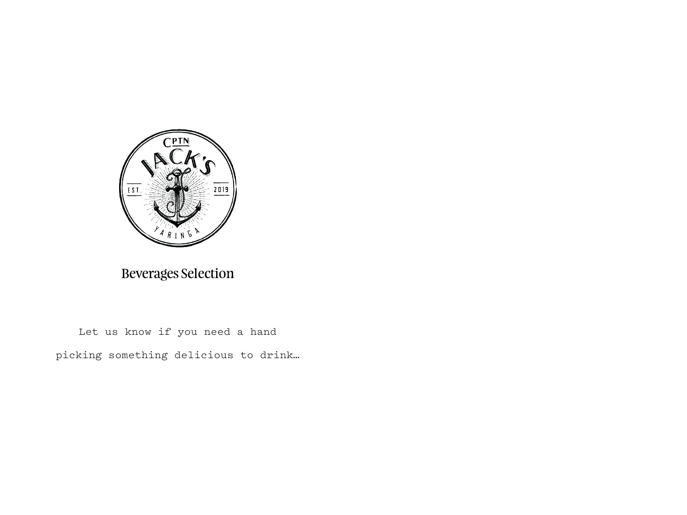

Beverages Selection

Let us know if you need a hand picking something delicious to drink…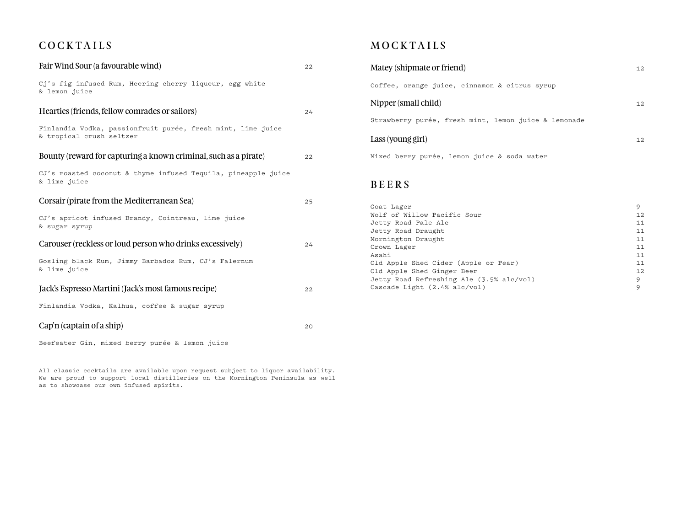## **COCKTAILS**

| Fair Wind Sour (a favourable wind)                                                      | 22 |
|-----------------------------------------------------------------------------------------|----|
| Cj's fig infused Rum, Heering cherry liqueur, egg white<br>& lemon juice                |    |
| Hearties (friends, fellow comrades or sailors)                                          | 24 |
| Finlandia Vodka, passionfruit purée, fresh mint, lime juice<br>& tropical crush seltzer |    |
| Bounty (reward for capturing a known criminal, such as a pirate)                        | 22 |
| CJ's roasted coconut & thyme infused Tequila, pineapple juice<br>& lime juice           |    |
| Corsair (pirate from the Mediterranean Sea)                                             | 25 |
| CJ's apricot infused Brandy, Cointreau, lime juice<br>& sugar syrup                     |    |
| Carouser (reckless or loud person who drinks excessively)                               | 24 |
| Gosling black Rum, Jimmy Barbados Rum, CJ's Falernum<br>& lime juice                    |    |
| Jack's Espresso Martini (Jack's most famous recipe)                                     | 22 |
| Finlandia Vodka, Kalhua, coffee & sugar syrup                                           |    |
| $Cap'n$ (captain of a ship)                                                             | 20 |

Beefeater Gin, mixed berry purée & lemon juice

All classic cocktails are available upon request subject to liquor availability. We are proud to support local distilleries on the Mornington Peninsula as well as to showcase our own infused spirits.

## **MOCKTAILS**

Mornington Draught

Cascade Light (2.4% alc/vol) 9

| Matey (shipmate or friend)                           | 12  |
|------------------------------------------------------|-----|
| Coffee, orange juice, cinnamon & citrus syrup        |     |
| Nipper (small child)                                 | 12  |
| Strawberry purée, fresh mint, lemon juice & lemonade |     |
| Lass (young girl)                                    | 12. |
| Mixed berry purée, lemon juice & soda water          |     |
| <b>BEERS</b>                                         |     |
| Goat Lager                                           | 9   |
| Wolf of Willow Pacific Sour                          | 12  |
| Jetty Road Pale Ale                                  | 11  |
| Jetty Road Draught                                   | 11  |
| Mornington Draught                                   | 11  |

Crown Lager 11<br>Asahi 11 Asahi 11 Asahi 12 Asahi 12 Asahi 12 Asahi 12 Asahi 12 Asahi 12 Asahi 12 Asahi 12 Asahi 12 Asahi 12 Asahi 12 As Old Apple Shed Cider (Apple or Pear) 11<br>
01d Apple Shed Ginger Beer 12 Old Apple Shed Ginger Beer<br>Jetty Road Refreshing Ale (3.5% alc/vol) 9 Jetty Road Refreshing Ale (3.5% alc/vol)<br>Cascade Light (2.4% alc/vol) 9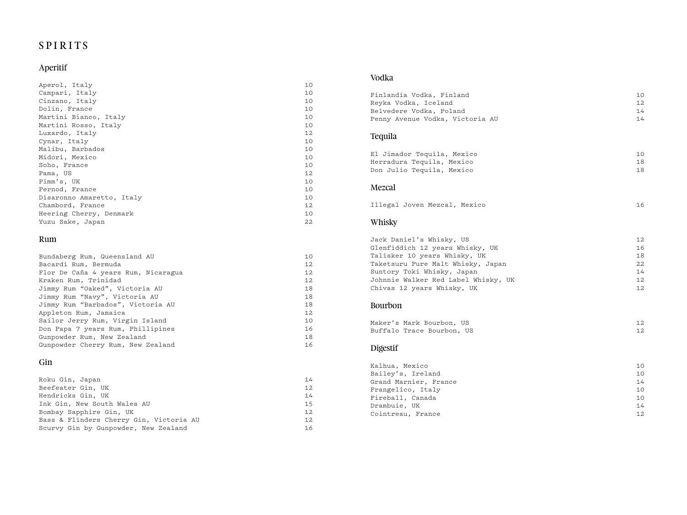# SPIRITS

## Aperitif

| Aperol, Italy             | 10              |
|---------------------------|-----------------|
| Campari, Italy            | 10              |
| Cinzano, Italy            | 10              |
| Dolin, France             | 10              |
| Martini Bianco, Italy     | 10              |
| Martini Rosso, Italy      | 10              |
| Luxardo, Italy            | 12 <sup>°</sup> |
| Cynar, Italy              | 10              |
| Malibu, Barbados          | 10              |
| Midori, Mexico            | 10              |
| Soho, France              | 10              |
| Pama, US                  | 12              |
| Pimm's, UK                | 10              |
| Pernod, France            | 10              |
| Disaronno Amaretto, Italy | 10              |
| Chambord, France          | 12              |
| Heering Cherry, Denmark   | 10              |
| Yuzu Sake, Japan          | 22              |

#### Rum

| Bundaberg Rum, Queensland AU        | 10 |
|-------------------------------------|----|
| Bacardi Rum, Bermuda                | 12 |
| Flor De Caña 4 years Rum, Nicaragua | 12 |
| Kraken Rum, Trinidad                | 12 |
| Jimmy Rum "Oaked", Victoria AU      | 18 |
| Jimmy Rum "Navy", Victoria AU       | 18 |
| Jimmy Rum "Barbados", Victoria AU   | 18 |
| Appleton Rum, Jamaica               | 12 |
| Sailor Jerry Rum, Virgin Island     | 10 |
| Don Papa 7 years Rum, Phillipines   | 16 |
| Gunpowder Rum, New Zealand          | 18 |
| Gunpowder Cherry Rum, New Zealand   | 16 |

### Gin

| Roku Gin, Japan                         | 14 |
|-----------------------------------------|----|
| Beefeater Gin, UK                       | 12 |
| Hendricks Gin, UK                       | 14 |
| Ink Gin, New South Wales AU             | 15 |
| Bombay Sapphire Gin, UK                 | 12 |
| Bass & Flinders Cherry Gin, Victoria AU | 12 |
| Scurvy Gin by Gunpowder, New Zealand    | 16 |
|                                         |    |

#### Vodka

| Finlandia Vodka, Finland<br>Reyka Vodka, Iceland<br>Belvedere Vodka, Poland<br>Penny Avenue Vodka, Victoria AU                                                                                                                      | 10<br>12<br>14<br>14                   |
|-------------------------------------------------------------------------------------------------------------------------------------------------------------------------------------------------------------------------------------|----------------------------------------|
| Tequila                                                                                                                                                                                                                             |                                        |
| El Jimador Tequila, Mexico<br>Herradura Tequila, Mexico<br>Don Julio Tequila, Mexico                                                                                                                                                | 10<br>18<br>18                         |
| Mezcal                                                                                                                                                                                                                              |                                        |
| Illegal Joven Mezcal, Mexico                                                                                                                                                                                                        | 16                                     |
| Whisky                                                                                                                                                                                                                              |                                        |
| Jack Daniel's Whisky, US<br>Glenfiddich 12 years Whisky, UK<br>Talisker 10 years Whisky, UK<br>Taketsuru Pure Malt Whisky, Japan<br>Suntory Toki Whisky, Japan<br>Johnnie Walker Red Label Whisky, UK<br>Chivas 12 years Whisky, UK | 12<br>16<br>18<br>22<br>14<br>12<br>12 |
| Bourbon                                                                                                                                                                                                                             |                                        |
| Maker's Mark Bourbon, US<br>Buffalo Trace Bourbon, US                                                                                                                                                                               | 12<br>12                               |
| <b>Digestif</b>                                                                                                                                                                                                                     |                                        |
| Kalhua, Mexico<br>Bailey's, Ireland<br>Grand Marnier, France<br>Frangelico, Italy<br>Fireball, Canada<br>Drambuie, UK                                                                                                               | 10<br>10<br>14<br>10<br>10<br>14       |
| Cointreau, France                                                                                                                                                                                                                   | 12                                     |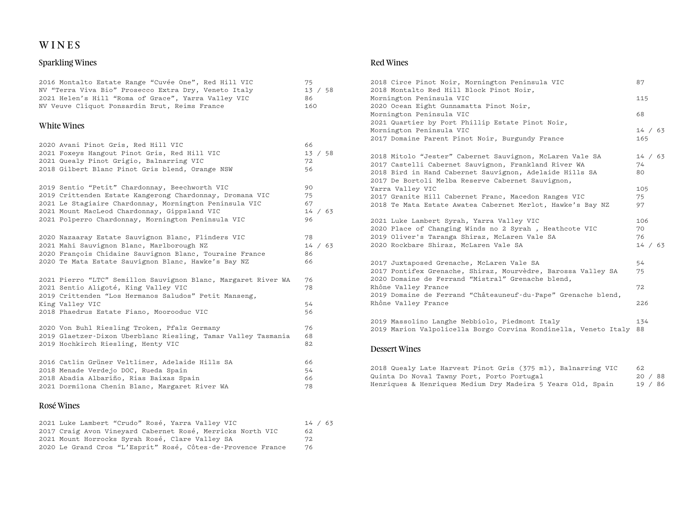# WINES

## Sparkling Wines

| 2016 Montalto Estate Range "Cuvée One", Red Hill VIC                                                                                                                                                                           | 75                   |
|--------------------------------------------------------------------------------------------------------------------------------------------------------------------------------------------------------------------------------|----------------------|
| NV "Terra Viva Bio" Prosecco Extra Dry, Veneto Italy                                                                                                                                                                           | 13 / 58              |
| 2021 Helen's Hill "Roma of Grace", Yarra Valley VIC                                                                                                                                                                            | 86                   |
| NV Veuve Cliquot Ponsardin Brut, Reims France                                                                                                                                                                                  | 160                  |
| White Wines                                                                                                                                                                                                                    |                      |
| 2020 Avani Pinot Gris, Red Hill VIC                                                                                                                                                                                            | 66                   |
| 2021 Foxeys Hangout Pinot Gris, Red Hill VIC                                                                                                                                                                                   | 13 / 58              |
| 2021 Quealy Pinot Grigio, Balnarring VIC                                                                                                                                                                                       | 72                   |
| 2018 Gilbert Blanc Pinot Gris blend, Orange NSW                                                                                                                                                                                | 56                   |
| 2019 Sentio "Petit" Chardonnay, Beechworth VIC                                                                                                                                                                                 | 90                   |
| 2019 Crittenden Estate Kangerong Chardonnay, Dromana VIC                                                                                                                                                                       | 75                   |
| 2021 Le Stagiaire Chardonnay, Mornington Peninsula VIC                                                                                                                                                                         | 67                   |
| 2021 Mount MacLeod Chardonnay, Gippsland VIC                                                                                                                                                                                   | 14 / 63              |
| 2021 Polperro Chardonnay, Mornington Peninsula VIC                                                                                                                                                                             | 96                   |
| 2020 Nazaaray Estate Sauvignon Blanc, Flinders VIC                                                                                                                                                                             | 78                   |
| 2021 Mahi Sauvignon Blanc, Marlborough NZ                                                                                                                                                                                      | 14 / 63              |
| 2020 François Chidaine Sauvignon Blanc, Touraine France                                                                                                                                                                        | 86                   |
| 2020 Te Mata Estate Sauvignon Blanc, Hawke's Bay NZ                                                                                                                                                                            | 66                   |
| 2021 Pierro "LTC" Semillon Sauvignon Blanc, Margaret River WA<br>2021 Sentio Aligoté, King Valley VIC<br>2019 Crittenden "Los Hermanos Saludos" Petit Manseng,<br>King Valley VIC<br>2018 Phaedrus Estate Fiano, Moorooduc VIC | 76<br>78<br>54<br>56 |
| 2020 Von Buhl Riesling Troken, Pfalz Germany                                                                                                                                                                                   | 76                   |
| 2019 Glaetzer-Dixon Uberblanc Riesling, Tamar Valley Tasmania                                                                                                                                                                  | 68                   |
| 2019 Hochkirch Riesling, Henty VIC                                                                                                                                                                                             | 82                   |
| 2016 Catlin Grüner Veltliner, Adelaide Hills SA                                                                                                                                                                                | 66                   |
| 2018 Menade Verdejo DOC, Rueda Spain                                                                                                                                                                                           | 54                   |
| 2018 Abadia Albariño, Rias Baixas Spain                                                                                                                                                                                        | 66                   |
| 2021 Dormilona Chenin Blanc, Margaret River WA                                                                                                                                                                                 | 78                   |
| Rosé Wines                                                                                                                                                                                                                     |                      |

| 2021 Luke Lambert "Crudo" Rosé, Yarra Valley VIC             | 14 / 63 |
|--------------------------------------------------------------|---------|
| 2017 Craig Avon Vineyard Cabernet Rosé, Merricks North VIC   | 62.     |
| 2021 Mount Horrocks Syrah Rosé, Clare Valley SA              | 72.     |
| 2020 Le Grand Cros "L'Esprit" Rosé, Côtes-de-Provence France | 76      |

### Red Wines

| 2018 Circe Pinot Noir, Mornington Peninsula VIC                                                                   | 87      |
|-------------------------------------------------------------------------------------------------------------------|---------|
| 2018 Montalto Red Hill Block Pinot Noir,                                                                          |         |
| Mornington Peninsula VIC                                                                                          | 115     |
| 2020 Ocean Eight Gunnamatta Pinot Noir,                                                                           |         |
| Mornington Peninsula VIC                                                                                          | 68      |
| 2021 Quartier by Port Phillip Estate Pinot Noir,                                                                  |         |
| Mornington Peninsula VIC                                                                                          | 14 / 63 |
| 2017 Domaine Parent Pinot Noir, Burgundy France                                                                   | 165     |
| 2018 Mitolo "Jester" Cabernet Sauvignon, McLaren Vale SA                                                          | 14 / 63 |
| 2017 Castelli Cabernet Sauvignon, Frankland River WA                                                              | 74      |
| 2018 Bird in Hand Cabernet Sauvignon, Adelaide Hills SA                                                           | 80      |
| 2017 De Bortoli Melba Reserve Cabernet Sauvignon,                                                                 |         |
| Yarra Valley VIC                                                                                                  | 105     |
| 2017 Granite Hill Cabernet Franc, Macedon Ranges VIC                                                              | 75      |
| 2018 Te Mata Estate Awatea Cabernet Merlot, Hawke's Bay NZ                                                        | 97      |
| 2021 Luke Lambert Syrah, Yarra Valley VIC                                                                         | 106     |
| 2020 Place of Changing Winds no 2 Syrah , Heathcote VIC                                                           | 70      |
| 2019 Oliver's Taranga Shiraz, McLaren Vale SA                                                                     | 76      |
| 2020 Rockbare Shiraz, McLaren Vale SA                                                                             | 14 / 63 |
| 2017 Juxtaposed Grenache, McLaren Vale SA                                                                         | 54      |
| 2017 Pontifex Grenache, Shiraz, Mourvèdre, Barossa Valley SA<br>2020 Domaine de Ferrand "Mistral" Grenache blend, | 75      |
| Rhône Valley France                                                                                               | 72      |
| 2019 Domaine de Ferrand "Châteauneuf-du-Pape" Grenache blend,                                                     |         |
| Rhône Valley France                                                                                               | 226     |
| 2019 Massolino Langhe Nebbiolo, Piedmont Italy                                                                    | 134     |
| 2019 Marion Valpolicella Borgo Corvina Rondinella, Veneto Italy                                                   | 88      |
|                                                                                                                   |         |

### Dessert Wines

| 2018 Quealy Late Harvest Pinot Gris (375 ml), Balnarring VIC |  |  |  |  |  | 62      |  |
|--------------------------------------------------------------|--|--|--|--|--|---------|--|
| Quinta Do Noval Tawny Port, Porto Portugal                   |  |  |  |  |  | 20 / 88 |  |
| Henriques & Henriques Medium Dry Madeira 5 Years Old, Spain  |  |  |  |  |  | 19 / 86 |  |